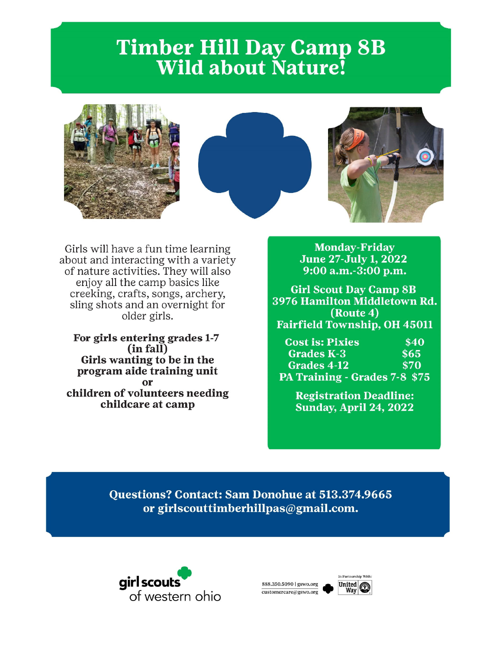# **Timber Hill Day Camp 8B Wild about Nature!**







Girls will have a fun time learning about and interacting with a variety of nature activities. They will also enjoy all the camp basics like creeking, crafts, songs, archery, sling shots and an overnight for older girls.

For girls entering grades 1-7 (in fall) Girls wanting to be in the program aide training unit or children of volunteers needing childcare at camp

**Monday-Friday June 27-July 1, 2022**  $9:00$  a.m.-3:00 p.m.

**Girl Scout Day Camp 8B** 3976 Hamilton Middletown Rd. (Route 4) **Fairfield Township, OH 45011** 

**Cost is: Pixies**  $$40$ **Grades K-3**  $$65$ Grades 4-12 \$70 PA Training - Grades 7-8 \$75

> **Registration Deadline: Sunday, April 24, 2022**

Questions? Contact: Sam Donohue at 513.374.9665 or girlscouttimberhillpas@gmail.com.



888.350.5090 | gswo.org customercare@gswo.org

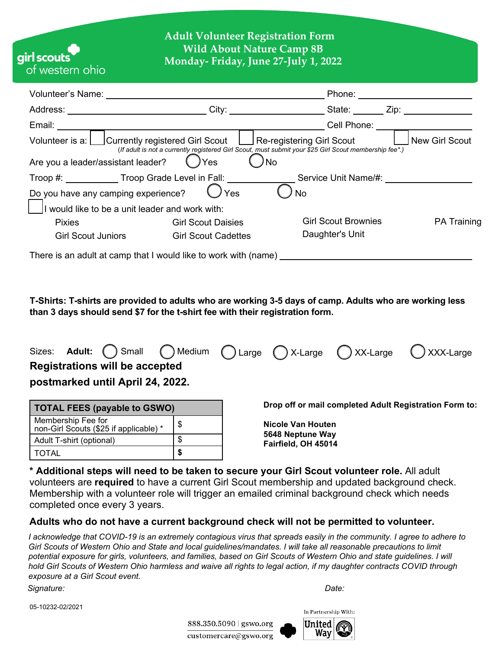## **Adult Volunteer Registration Form Wild About Nature Camp 8B Monday- Friday, June 27-July 1, 2022**

|                                                 | Volunteer's Name: Volunteer's Name:                                              | Phone: <u>_____________________</u>                                                                                      |                    |  |  |  |
|-------------------------------------------------|----------------------------------------------------------------------------------|--------------------------------------------------------------------------------------------------------------------------|--------------------|--|--|--|
|                                                 |                                                                                  | City: City: City: City: City: City:                                                                                      |                    |  |  |  |
| Email: <b>Email</b>                             |                                                                                  | Cell Phone: ____________________                                                                                         |                    |  |  |  |
|                                                 | Volunteer is a: Currently registered Girl Scout Contemporary Girl Scout          | New Girl Scout<br>(If adult is not a currently registered Girl Scout, must submit your \$25 Girl Scout membership fee*.) |                    |  |  |  |
| Are you a leader/assistant leader?              | ) Yes                                                                            | No                                                                                                                       |                    |  |  |  |
|                                                 | Troop #: ______________Troop Grade Level in Fall: ______________________________ | Service Unit Name/#:                                                                                                     |                    |  |  |  |
|                                                 | Do you have any camping experience?<br>$\bigcup$ Yes                             | No                                                                                                                       |                    |  |  |  |
| I would like to be a unit leader and work with: |                                                                                  |                                                                                                                          |                    |  |  |  |
| <b>Pixies</b>                                   | <b>Girl Scout Daisies</b>                                                        | <b>Girl Scout Brownies</b>                                                                                               | <b>PA Training</b> |  |  |  |
| <b>Girl Scout Juniors</b>                       | <b>Girl Scout Cadettes</b>                                                       | Daughter's Unit                                                                                                          |                    |  |  |  |
|                                                 | There is an adult at camp that I would like to work with (name)                  |                                                                                                                          |                    |  |  |  |

**T-Shirts: T-shirts are provided to adults who are working 3-5 days of camp. Adults who are working less than 3 days should send \$7 for the t-shirt fee with their registration form.**



| <b>TOTAL FEES (payable to GSWO)</b>                          |    |  |  |  |  |
|--------------------------------------------------------------|----|--|--|--|--|
| Membership Fee for<br>non-Girl Scouts (\$25 if applicable) * | \$ |  |  |  |  |
| Adult T-shirt (optional)                                     |    |  |  |  |  |
| <b>TOTAL</b>                                                 |    |  |  |  |  |

**Drop off or mail completed Adult Registration Form to:** 

**Nicole Van Houten 5648 Neptune Way Fairfield, OH 45014**

**\* Additional steps will need to be taken to secure your Girl Scout volunteer role.** All adult volunteers are **required** to have a current Girl Scout membership and updated background check. Membership with a volunteer role will trigger an emailed criminal background check which needs completed once every 3 years.

#### **Adults who do not have a current background check will not be permitted to volunteer.**

*I acknowledge that COVID-19 is an extremely contagious virus that spreads easily in the community. I agree to adhere to Girl Scouts of Western Ohio and State and local guidelines/mandates. I will take all reasonable precautions to limit potential exposure for girls, volunteers, and families, based on Girl Scouts of Western Ohio and state guidelines. I will hold Girl Scouts of Western Ohio harmless and waive all rights to legal action, if my daughter contracts COVID through exposure at a Girl Scout event.*

*Signature: Date:* 

airl scout

ot western ohio

05-10232-02/2021

888.350.5090 gswo.org customercare@gswo.org